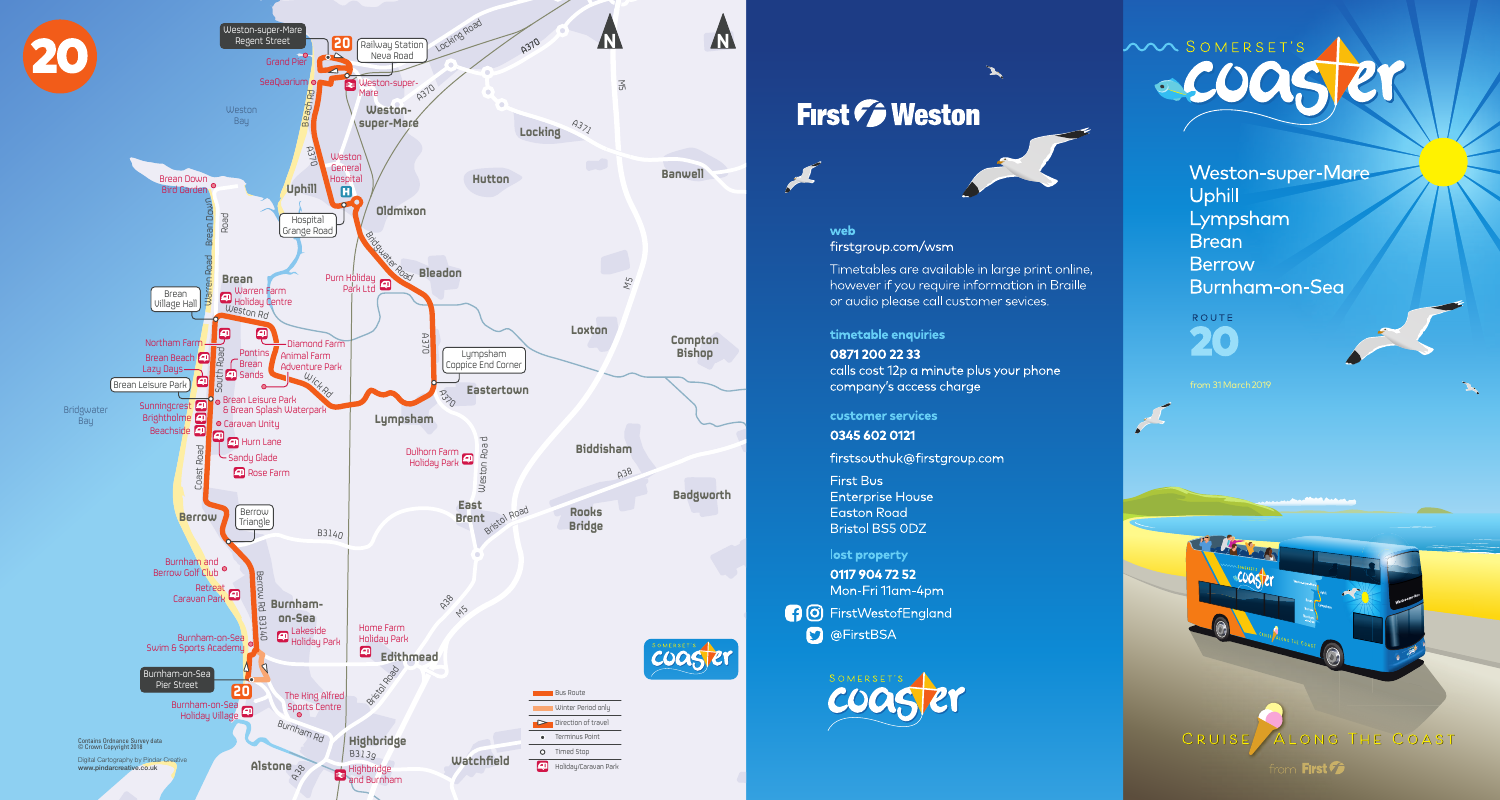

# First *F* Weston



`L

## web

firstgroup.com/wsm

Timetables are available in large print online, however if you require information in Braille or audio please call customer sevices.

timetable enquiries

0871 200 22 33 calls cost 12p a minute plus your phone company's access charge

customer services

0345 602 0121

firstsouthuk@firstgroup.com

First Bus **Enterprise House** Easton Road **Bristol BS5 ODZ** 

lost property

0117 904 72 52 Mon-Fri 11am-4pm

**3** O FirstWestofEngland **D** @FirstBSA





Weston-super-Mare Uphill Lympsham **Brean Berrow** Burnham-on-Sea

ROUTE 20

from 31 March 2019



CRUIS ONG THE COAST from First **Pa**